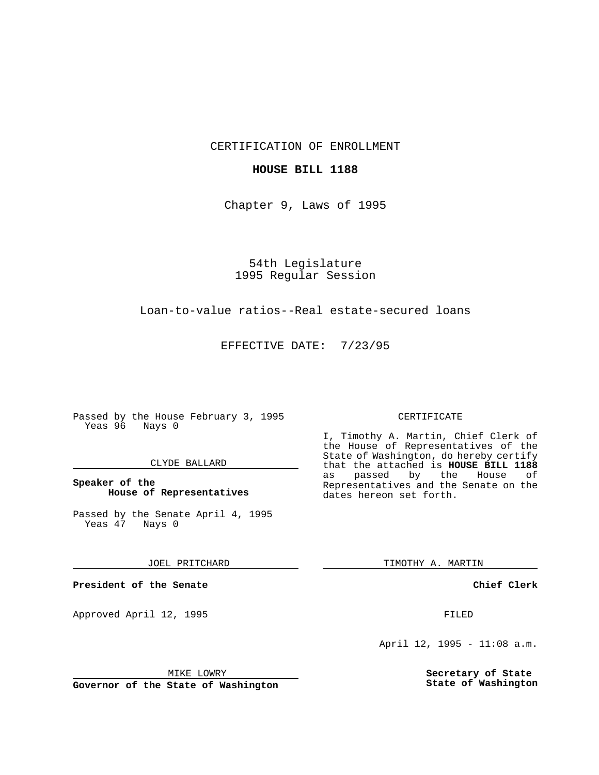CERTIFICATION OF ENROLLMENT

#### **HOUSE BILL 1188**

Chapter 9, Laws of 1995

54th Legislature 1995 Regular Session

## Loan-to-value ratios--Real estate-secured loans

EFFECTIVE DATE: 7/23/95

Passed by the House February 3, 1995 Yeas 96 Nays 0

#### CLYDE BALLARD

### **Speaker of the House of Representatives**

Passed by the Senate April 4, 1995<br>Yeas 47 Nays 0 Yeas 47

#### JOEL PRITCHARD

**President of the Senate**

Approved April 12, 1995 FILED

# CERTIFICATE

I, Timothy A. Martin, Chief Clerk of the House of Representatives of the State of Washington, do hereby certify that the attached is **HOUSE BILL 1188** as passed by the Representatives and the Senate on the dates hereon set forth.

TIMOTHY A. MARTIN

**Chief Clerk**

April 12, 1995 - 11:08 a.m.

**Secretary of State State of Washington**

MIKE LOWRY

**Governor of the State of Washington**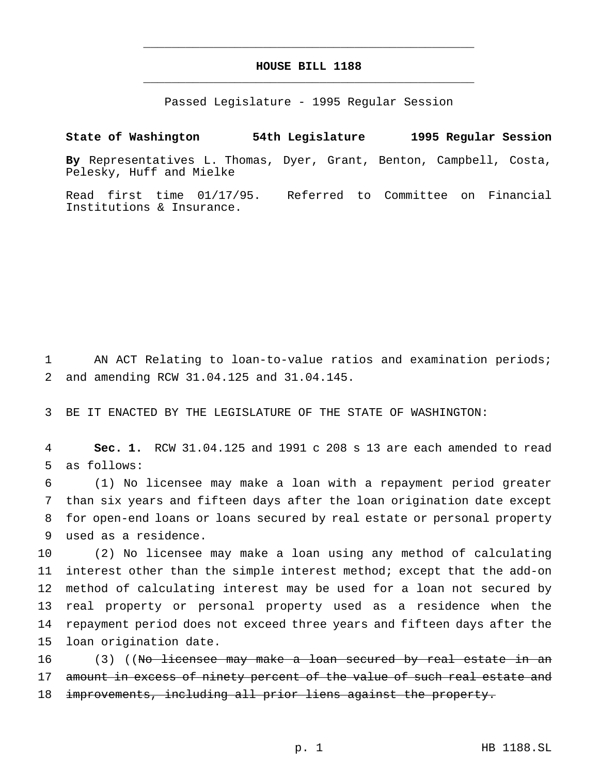# **HOUSE BILL 1188** \_\_\_\_\_\_\_\_\_\_\_\_\_\_\_\_\_\_\_\_\_\_\_\_\_\_\_\_\_\_\_\_\_\_\_\_\_\_\_\_\_\_\_\_\_\_\_

\_\_\_\_\_\_\_\_\_\_\_\_\_\_\_\_\_\_\_\_\_\_\_\_\_\_\_\_\_\_\_\_\_\_\_\_\_\_\_\_\_\_\_\_\_\_\_

Passed Legislature - 1995 Regular Session

# **State of Washington 54th Legislature 1995 Regular Session**

**By** Representatives L. Thomas, Dyer, Grant, Benton, Campbell, Costa, Pelesky, Huff and Mielke

Read first time 01/17/95. Referred to Committee on Financial Institutions & Insurance.

1 AN ACT Relating to loan-to-value ratios and examination periods; 2 and amending RCW 31.04.125 and 31.04.145.

3 BE IT ENACTED BY THE LEGISLATURE OF THE STATE OF WASHINGTON:

4 **Sec. 1.** RCW 31.04.125 and 1991 c 208 s 13 are each amended to read 5 as follows:

 (1) No licensee may make a loan with a repayment period greater than six years and fifteen days after the loan origination date except for open-end loans or loans secured by real estate or personal property used as a residence.

 (2) No licensee may make a loan using any method of calculating interest other than the simple interest method; except that the add-on method of calculating interest may be used for a loan not secured by real property or personal property used as a residence when the repayment period does not exceed three years and fifteen days after the loan origination date.

16 (3) ((No licensee may make a loan secured by real estate in an 17 amount in excess of ninety percent of the value of such real estate and 18 improvements, including all prior liens against the property.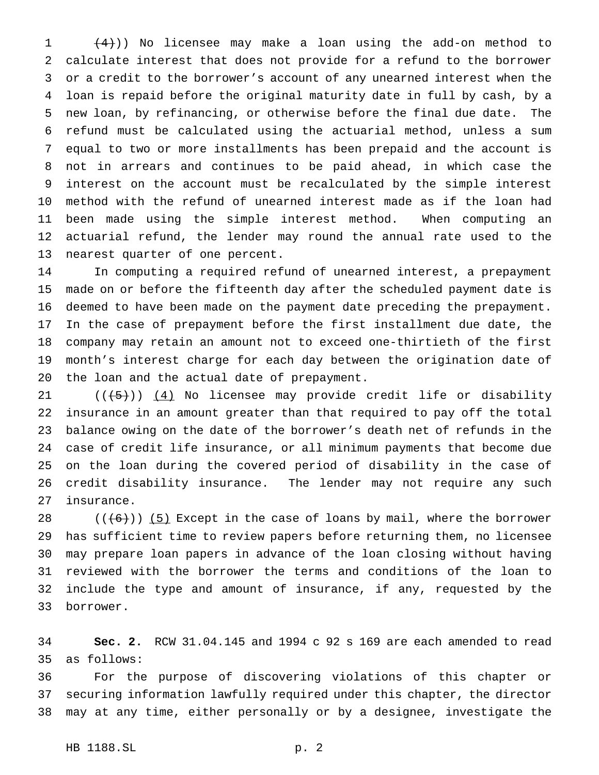$(4)$ )) No licensee may make a loan using the add-on method to calculate interest that does not provide for a refund to the borrower or a credit to the borrower's account of any unearned interest when the loan is repaid before the original maturity date in full by cash, by a new loan, by refinancing, or otherwise before the final due date. The refund must be calculated using the actuarial method, unless a sum equal to two or more installments has been prepaid and the account is not in arrears and continues to be paid ahead, in which case the interest on the account must be recalculated by the simple interest method with the refund of unearned interest made as if the loan had been made using the simple interest method. When computing an actuarial refund, the lender may round the annual rate used to the nearest quarter of one percent.

 In computing a required refund of unearned interest, a prepayment made on or before the fifteenth day after the scheduled payment date is deemed to have been made on the payment date preceding the prepayment. In the case of prepayment before the first installment due date, the company may retain an amount not to exceed one-thirtieth of the first month's interest charge for each day between the origination date of the loan and the actual date of prepayment.

 $((+5))$   $(4)$  No licensee may provide credit life or disability insurance in an amount greater than that required to pay off the total balance owing on the date of the borrower's death net of refunds in the case of credit life insurance, or all minimum payments that become due on the loan during the covered period of disability in the case of credit disability insurance. The lender may not require any such insurance.

 $((+6))$  (5) Except in the case of loans by mail, where the borrower has sufficient time to review papers before returning them, no licensee may prepare loan papers in advance of the loan closing without having reviewed with the borrower the terms and conditions of the loan to include the type and amount of insurance, if any, requested by the borrower.

 **Sec. 2.** RCW 31.04.145 and 1994 c 92 s 169 are each amended to read as follows:

 For the purpose of discovering violations of this chapter or securing information lawfully required under this chapter, the director may at any time, either personally or by a designee, investigate the